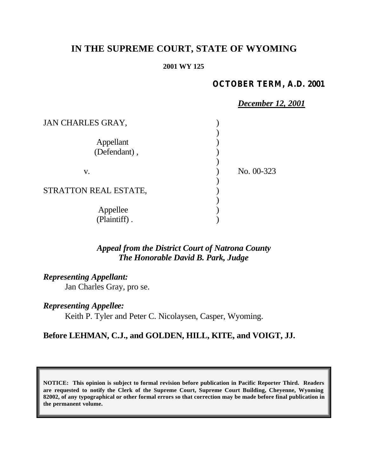# **IN THE SUPREME COURT, STATE OF WYOMING**

#### **2001 WY 125**

### **OCTOBER TERM, A.D. 2001**

|                       | December 12, 2001 |  |
|-----------------------|-------------------|--|
| JAN CHARLES GRAY,     |                   |  |
|                       |                   |  |
| Appellant             |                   |  |
| (Defendant),          |                   |  |
|                       |                   |  |
| V.                    | No. 00-323        |  |
|                       |                   |  |
| STRATTON REAL ESTATE, |                   |  |
|                       |                   |  |
| Appellee              |                   |  |
| (Plaintiff).          |                   |  |

## *Appeal from the District Court of Natrona County The Honorable David B. Park, Judge*

*Representing Appellant:*

Jan Charles Gray, pro se.

*Representing Appellee:*

Keith P. Tyler and Peter C. Nicolaysen, Casper, Wyoming.

## **Before LEHMAN, C.J., and GOLDEN, HILL, KITE, and VOIGT, JJ.**

**NOTICE: This opinion is subject to formal revision before publication in Pacific Reporter Third. Readers are requested to notify the Clerk of the Supreme Court, Supreme Court Building, Cheyenne, Wyoming 82002, of any typographical or other formal errors so that correction may be made before final publication in the permanent volume.**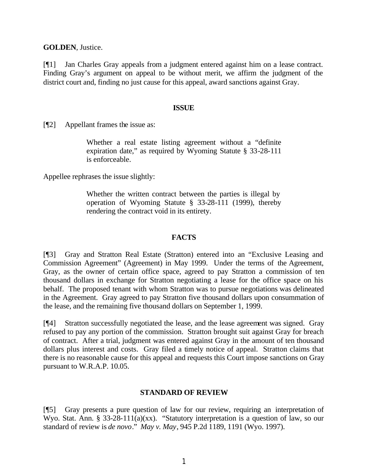**GOLDEN**, Justice.

[¶1] Jan Charles Gray appeals from a judgment entered against him on a lease contract. Finding Gray's argument on appeal to be without merit, we affirm the judgment of the district court and, finding no just cause for this appeal, award sanctions against Gray.

#### **ISSUE**

[¶2] Appellant frames the issue as:

Whether a real estate listing agreement without a "definite expiration date," as required by Wyoming Statute § 33-28-111 is enforceable.

Appellee rephrases the issue slightly:

Whether the written contract between the parties is illegal by operation of Wyoming Statute § 33-28-111 (1999), thereby rendering the contract void in its entirety.

#### **FACTS**

[¶3] Gray and Stratton Real Estate (Stratton) entered into an "Exclusive Leasing and Commission Agreement" (Agreement) in May 1999. Under the terms of the Agreement, Gray, as the owner of certain office space, agreed to pay Stratton a commission of ten thousand dollars in exchange for Stratton negotiating a lease for the office space on his behalf. The proposed tenant with whom Stratton was to pursue negotiations was delineated in the Agreement. Gray agreed to pay Stratton five thousand dollars upon consummation of the lease, and the remaining five thousand dollars on September 1, 1999.

[¶4] Stratton successfully negotiated the lease, and the lease agreement was signed. Gray refused to pay any portion of the commission. Stratton brought suit against Gray for breach of contract. After a trial, judgment was entered against Gray in the amount of ten thousand dollars plus interest and costs. Gray filed a timely notice of appeal. Stratton claims that there is no reasonable cause for this appeal and requests this Court impose sanctions on Gray pursuant to W.R.A.P. 10.05.

#### **STANDARD OF REVIEW**

[¶5] Gray presents a pure question of law for our review, requiring an interpretation of Wyo. Stat. Ann. § 33-28-111(a)(xx). "Statutory interpretation is a question of law, so our standard of review is *de novo*." *May v. May*, 945 P.2d 1189, 1191 (Wyo. 1997).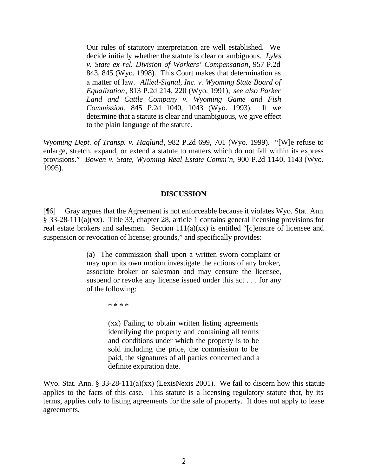Our rules of statutory interpretation are well established. We decide initially whether the statute is clear or ambiguous. *Lyles v. State ex rel. Division of Workers' Compensation*, 957 P.2d 843, 845 (Wyo. 1998). This Court makes that determination as a matter of law. *Allied-Signal, Inc. v. Wyoming State Board of Equalization*, 813 P.2d 214, 220 (Wyo. 1991); *see also Parker Land and Cattle Company v. Wyoming Game and Fish Commission*, 845 P.2d 1040, 1043 (Wyo. 1993). If we determine that a statute is clear and unambiguous, we give effect to the plain language of the statute.

*Wyoming Dept. of Transp. v. Haglund*, 982 P.2d 699, 701 (Wyo. 1999). "[W]e refuse to enlarge, stretch, expand, or extend a statute to matters which do not fall within its express provisions." *Bowen v. State, Wyoming Real Estate Comm'n*, 900 P.2d 1140, 1143 (Wyo. 1995).

#### **DISCUSSION**

[¶6] Gray argues that the Agreement is not enforceable because it violates Wyo. Stat. Ann. § 33-28-111(a)(xx). Title 33, chapter 28, article 1 contains general licensing provisions for real estate brokers and salesmen. Section 111(a)(xx) is entitled "[c]ensure of licensee and suspension or revocation of license; grounds," and specifically provides:

> (a) The commission shall upon a written sworn complaint or may upon its own motion investigate the actions of any broker, associate broker or salesman and may censure the licensee, suspend or revoke any license issued under this act . . . for any of the following:

> > \* \* \* \*

(xx) Failing to obtain written listing agreements identifying the property and containing all terms and conditions under which the property is to be sold including the price, the commission to be paid, the signatures of all parties concerned and a definite expiration date.

Wyo. Stat. Ann. § 33-28-111(a)(xx) (LexisNexis 2001). We fail to discern how this statute applies to the facts of this case. This statute is a licensing regulatory statute that, by its terms, applies only to listing agreements for the sale of property. It does not apply to lease agreements.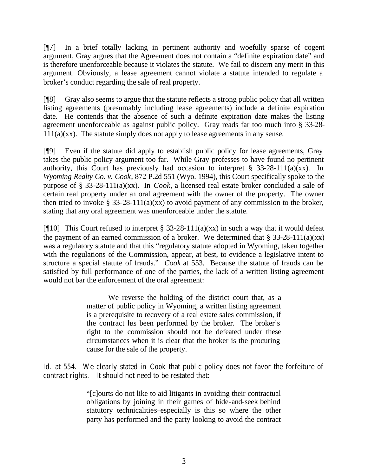[¶7] In a brief totally lacking in pertinent authority and woefully sparse of cogent argument, Gray argues that the Agreement does not contain a "definite expiration date" and is therefore unenforceable because it violates the statute. We fail to discern any merit in this argument. Obviously, a lease agreement cannot violate a statute intended to regulate a broker's conduct regarding the sale of real property.

[¶8] Gray also seems to argue that the statute reflects a strong public policy that all written listing agreements (presumably including lease agreements) include a definite expiration date. He contends that the absence of such a definite expiration date makes the listing agreement unenforceable as against public policy. Gray reads far too much into § 33-28-  $111(a)(xx)$ . The statute simply does not apply to lease agreements in any sense.

[¶9] Even if the statute did apply to establish public policy for lease agreements, Gray takes the public policy argument too far. While Gray professes to have found no pertinent authority, this Court has previously had occasion to interpret  $\S$  33-28-111(a)(xx). In *Wyoming Realty Co. v. Cook*, 872 P.2d 551 (Wyo. 1994), this Court specifically spoke to the purpose of § 33-28-111(a)(xx). In *Cook,* a licensed real estate broker concluded a sale of certain real property under an oral agreement with the owner of the property. The owner then tried to invoke § 33-28-111(a)(xx) to avoid payment of any commission to the broker, stating that any oral agreement was unenforceable under the statute.

[ $[10]$ ] This Court refused to interpret § 33-28-111(a)(xx) in such a way that it would defeat the payment of an earned commission of a broker. We determined that  $\S 33-28-111(a)(xx)$ was a regulatory statute and that this "regulatory statute adopted in Wyoming, taken together with the regulations of the Commission, appear, at best, to evidence a legislative intent to structure a special statute of frauds." *Cook* at 553. Because the statute of frauds can be satisfied by full performance of one of the parties, the lack of a written listing agreement would not bar the enforcement of the oral agreement:

> We reverse the holding of the district court that, as a matter of public policy in Wyoming, a written listing agreement is a prerequisite to recovery of a real estate sales commission, if the contract has been performed by the broker. The broker's right to the commission should not be defeated under these circumstances when it is clear that the broker is the procuring cause for the sale of the property.

*Id.* at 554. We clearly stated in *Cook* that public policy does not favor the forfeiture of contract rights. It should not need to be restated that:

> "[c]ourts do not like to aid litigants in avoiding their contractual obligations by joining in their games of hide-and-seek behind statutory technicalities–especially is this so where the other party has performed and the party looking to avoid the contract